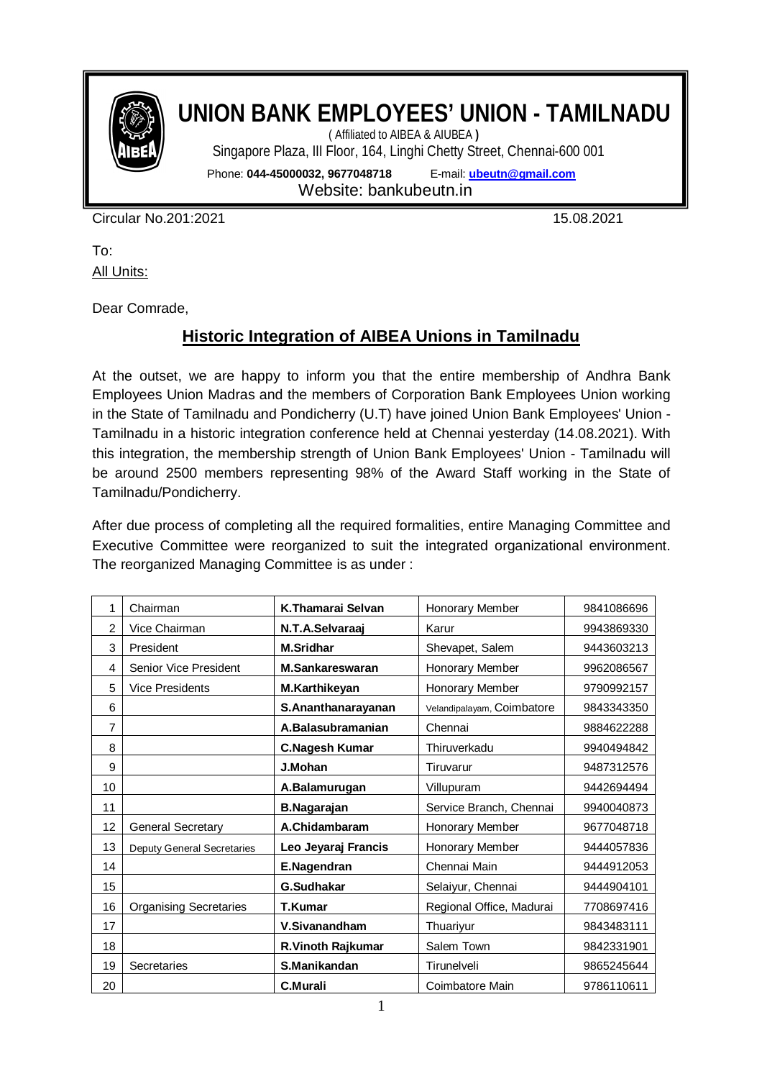

## **UNION BANK EMPLOYEES' UNION - TAMILNADU**

( Affiliated to AIBEA & AIUBEA **)**  Singapore Plaza, III Floor, 164, Linghi Chetty Street, Chennai-600 001

Phone: **044-45000032, 9677048718** E-mail: **ubeutn@gmail.com**

Website: bankubeutn.in

Circular No.201:2021 15.08.2021

To: **All Units:** 

Dear Comrade,

## **Historic Integration of AIBEA Unions in Tamilnadu**

At the outset, we are happy to inform you that the entire membership of Andhra Bank Employees Union Madras and the members of Corporation Bank Employees Union working in the State of Tamilnadu and Pondicherry (U.T) have joined Union Bank Employees' Union - Tamilnadu in a historic integration conference held at Chennai yesterday (14.08.2021). With this integration, the membership strength of Union Bank Employees' Union - Tamilnadu will be around 2500 members representing 98% of the Award Staff working in the State of Tamilnadu/Pondicherry.

After due process of completing all the required formalities, entire Managing Committee and Executive Committee were reorganized to suit the integrated organizational environment. The reorganized Managing Committee is as under :

| 1  | Chairman                          | K.Thamarai Selvan     | Honorary Member            | 9841086696 |
|----|-----------------------------------|-----------------------|----------------------------|------------|
| 2  | Vice Chairman                     | N.T.A.Selvaraaj       | Karur                      | 9943869330 |
| 3  | President                         | <b>M.Sridhar</b>      | Shevapet, Salem            | 9443603213 |
| 4  | Senior Vice President             | M.Sankareswaran       | Honorary Member            | 9962086567 |
| 5  | <b>Vice Presidents</b>            | M.Karthikeyan         | Honorary Member            | 9790992157 |
| 6  |                                   | S.Ananthanarayanan    | Velandipalayam, Coimbatore | 9843343350 |
| 7  |                                   | A.Balasubramanian     | Chennai                    | 9884622288 |
| 8  |                                   | <b>C.Nagesh Kumar</b> | Thiruverkadu               | 9940494842 |
| 9  |                                   | J.Mohan               | Tiruvarur                  | 9487312576 |
| 10 |                                   | A.Balamurugan         | Villupuram                 | 9442694494 |
| 11 |                                   | <b>B.Nagarajan</b>    | Service Branch, Chennai    | 9940040873 |
| 12 | <b>General Secretary</b>          | A.Chidambaram         | Honorary Member            | 9677048718 |
| 13 | <b>Deputy General Secretaries</b> | Leo Jeyaraj Francis   | Honorary Member            | 9444057836 |
| 14 |                                   | E.Nagendran           | Chennai Main               | 9444912053 |
| 15 |                                   | G.Sudhakar            | Selaiyur, Chennai          | 9444904101 |
| 16 | <b>Organising Secretaries</b>     | <b>T.Kumar</b>        | Regional Office, Madurai   | 7708697416 |
| 17 |                                   | V.Sivanandham         | Thuariyur                  | 9843483111 |
| 18 |                                   | R.Vinoth Rajkumar     | Salem Town                 | 9842331901 |
| 19 | Secretaries                       | S.Manikandan          | Tirunelveli                | 9865245644 |
| 20 |                                   | C.Murali              | Coimbatore Main            | 9786110611 |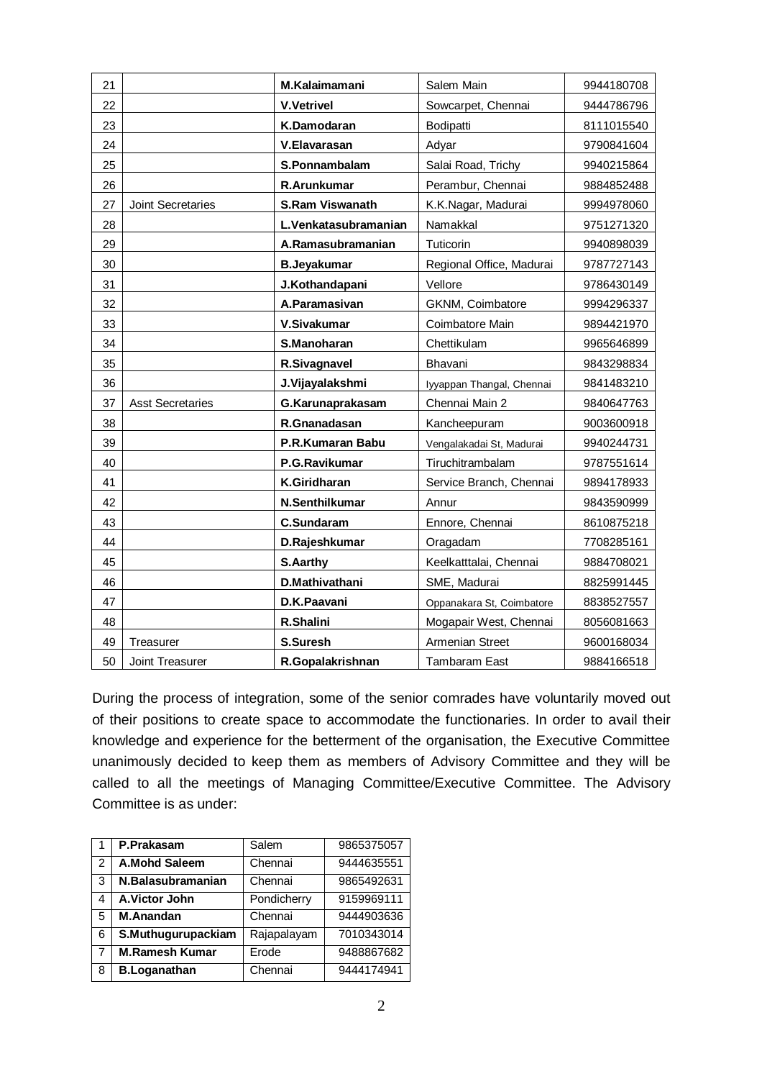| 21 |                         | M.Kalaimamani          | Salem Main                | 9944180708 |
|----|-------------------------|------------------------|---------------------------|------------|
| 22 |                         | <b>V.Vetrivel</b>      | Sowcarpet, Chennai        | 9444786796 |
| 23 |                         | K.Damodaran            | Bodipatti                 | 8111015540 |
| 24 |                         | V.Elavarasan           | Adyar                     | 9790841604 |
| 25 |                         | S.Ponnambalam          | Salai Road, Trichy        | 9940215864 |
| 26 |                         | R.Arunkumar            | Perambur, Chennai         | 9884852488 |
| 27 | Joint Secretaries       | <b>S.Ram Viswanath</b> | K.K.Nagar, Madurai        | 9994978060 |
| 28 |                         | L.Venkatasubramanian   | Namakkal                  | 9751271320 |
| 29 |                         | A.Ramasubramanian      | Tuticorin                 | 9940898039 |
| 30 |                         | <b>B.Jeyakumar</b>     | Regional Office, Madurai  | 9787727143 |
| 31 |                         | J.Kothandapani         | Vellore                   | 9786430149 |
| 32 |                         | A.Paramasivan          | GKNM, Coimbatore          | 9994296337 |
| 33 |                         | V.Sivakumar            | Coimbatore Main           | 9894421970 |
| 34 |                         | S.Manoharan            | Chettikulam               | 9965646899 |
| 35 |                         | R.Sivagnavel           | <b>Bhavani</b>            | 9843298834 |
| 36 |                         | J.Vijayalakshmi        | Iyyappan Thangal, Chennai | 9841483210 |
| 37 | <b>Asst Secretaries</b> | G.Karunaprakasam       | Chennai Main 2            | 9840647763 |
| 38 |                         | R.Gnanadasan           | Kancheepuram              | 9003600918 |
| 39 |                         | P.R.Kumaran Babu       | Vengalakadai St, Madurai  | 9940244731 |
| 40 |                         | P.G.Ravikumar          | Tiruchitrambalam          | 9787551614 |
| 41 |                         | K.Giridharan           | Service Branch, Chennai   | 9894178933 |
| 42 |                         | N.Senthilkumar         | Annur                     | 9843590999 |
| 43 |                         | <b>C.Sundaram</b>      | Ennore, Chennai           | 8610875218 |
| 44 |                         | D.Rajeshkumar          | Oragadam                  | 7708285161 |
| 45 |                         | S.Aarthy               | Keelkatttalai, Chennai    | 9884708021 |
| 46 |                         | D.Mathivathani         | SME, Madurai              | 8825991445 |
| 47 |                         | D.K.Paavani            | Oppanakara St, Coimbatore | 8838527557 |
| 48 |                         | R.Shalini              | Mogapair West, Chennai    | 8056081663 |
| 49 | Treasurer               | S.Suresh               | Armenian Street           | 9600168034 |
| 50 | Joint Treasurer         | R.Gopalakrishnan       | <b>Tambaram East</b>      | 9884166518 |

During the process of integration, some of the senior comrades have voluntarily moved out of their positions to create space to accommodate the functionaries. In order to avail their knowledge and experience for the betterment of the organisation, the Executive Committee unanimously decided to keep them as members of Advisory Committee and they will be called to all the meetings of Managing Committee/Executive Committee. The Advisory Committee is as under:

|    | P.Prakasam            | Salem       | 9865375057 |
|----|-----------------------|-------------|------------|
| 2  | A.Mohd Saleem         | Chennai     | 9444635551 |
| 3  | N.Balasubramanian     | Chennai     | 9865492631 |
| 4  | A.Victor John         | Pondicherry | 9159969111 |
| 5  | <b>M.Anandan</b>      | Chennai     | 9444903636 |
| 6  | S.Muthugurupackiam    | Rajapalayam | 7010343014 |
| -7 | <b>M.Ramesh Kumar</b> | Erode       | 9488867682 |
| 8  | <b>B.Loganathan</b>   | Chennai     | 9444174941 |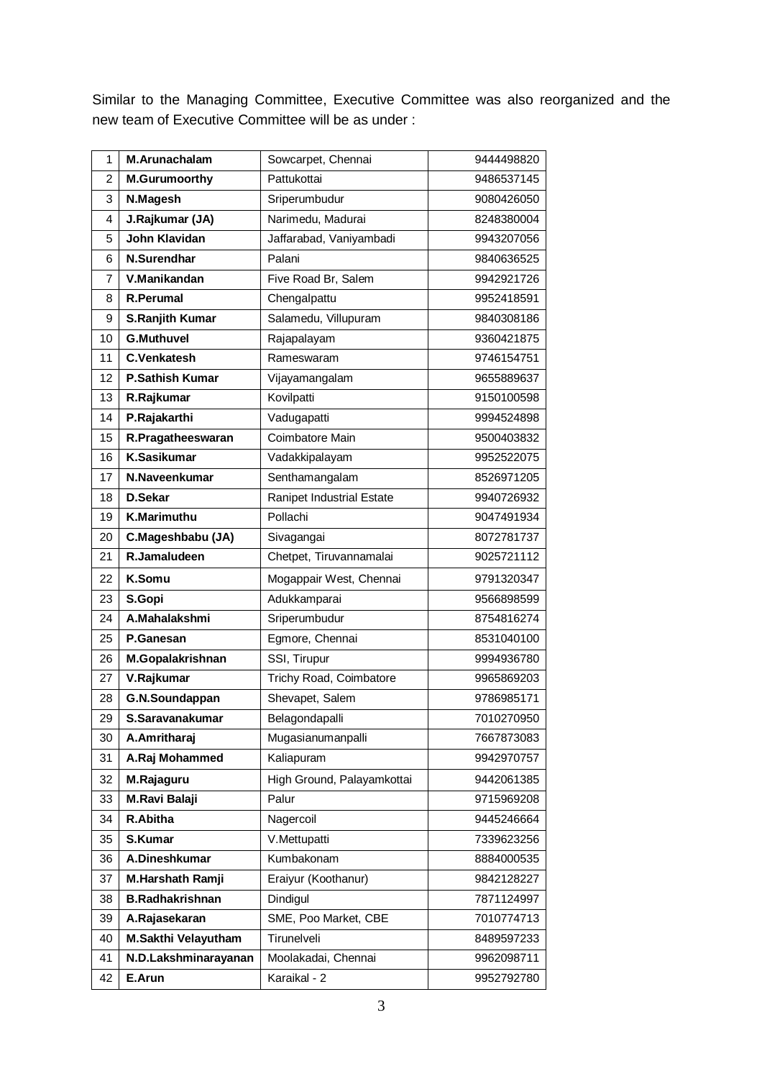Similar to the Managing Committee, Executive Committee was also reorganized and the new team of Executive Committee will be as under :

| 1              | <b>M.Arunachalam</b>   | Sowcarpet, Chennai         | 9444498820 |
|----------------|------------------------|----------------------------|------------|
| $\overline{2}$ | <b>M.Gurumoorthy</b>   | Pattukottai                | 9486537145 |
| 3              | N.Magesh               | Sriperumbudur              | 9080426050 |
| 4              | J.Rajkumar (JA)        | Narimedu, Madurai          | 8248380004 |
| 5              | <b>John Klavidan</b>   | Jaffarabad, Vaniyambadi    | 9943207056 |
| 6              | N.Surendhar            | Palani                     | 9840636525 |
| 7              | V.Manikandan           | Five Road Br, Salem        | 9942921726 |
| 8              | <b>R.Perumal</b>       | Chengalpattu               | 9952418591 |
| 9              | S.Ranjith Kumar        | Salamedu, Villupuram       | 9840308186 |
| 10             | <b>G.Muthuvel</b>      | Rajapalayam                | 9360421875 |
| 11             | <b>C.Venkatesh</b>     | Rameswaram                 | 9746154751 |
| 12             | <b>P.Sathish Kumar</b> | Vijayamangalam             | 9655889637 |
| 13             | R.Rajkumar             | Kovilpatti                 | 9150100598 |
| 14             | P.Rajakarthi           | Vadugapatti                | 9994524898 |
| 15             | R.Pragatheeswaran      | Coimbatore Main            | 9500403832 |
| 16             | <b>K.Sasikumar</b>     | Vadakkipalayam             | 9952522075 |
| 17             | N.Naveenkumar          | Senthamangalam             | 8526971205 |
| 18             | <b>D.Sekar</b>         | Ranipet Industrial Estate  | 9940726932 |
| 19             | K.Marimuthu            | Pollachi                   | 9047491934 |
| 20             | C.Mageshbabu (JA)      | Sivagangai                 | 8072781737 |
| 21             | R.Jamaludeen           | Chetpet, Tiruvannamalai    | 9025721112 |
| 22             | K.Somu                 | Mogappair West, Chennai    | 9791320347 |
| 23             | S.Gopi                 | Adukkamparai               | 9566898599 |
| 24             | A.Mahalakshmi          | Sriperumbudur              | 8754816274 |
| 25             | P.Ganesan              | Egmore, Chennai            | 8531040100 |
| 26             | M.Gopalakrishnan       | SSI, Tirupur               | 9994936780 |
| 27             | V.Rajkumar             | Trichy Road, Coimbatore    | 9965869203 |
| 28             | G.N.Soundappan         | Shevapet, Salem            | 9786985171 |
| 29             | S.Saravanakumar        | Belagondapalli             | 7010270950 |
| 30             | A.Amritharaj           | Mugasianumanpalli          | 7667873083 |
| 31             | A.Raj Mohammed         | Kaliapuram                 | 9942970757 |
| 32             | M.Rajaguru             | High Ground, Palayamkottai | 9442061385 |
| 33             | <b>M.Ravi Balaji</b>   | Palur                      | 9715969208 |
| 34             | R.Abitha               | Nagercoil                  | 9445246664 |
| 35             | <b>S.Kumar</b>         | V.Mettupatti               | 7339623256 |
| 36             | A.Dineshkumar          | Kumbakonam                 | 8884000535 |
| 37             | M.Harshath Ramji       | Eraiyur (Koothanur)        | 9842128227 |
| 38             | <b>B.Radhakrishnan</b> | Dindigul                   | 7871124997 |
| 39             | A.Rajasekaran          | SME, Poo Market, CBE       | 7010774713 |
|                |                        |                            |            |
| 40             | M.Sakthi Velayutham    | Tirunelveli                | 8489597233 |
| 41             | N.D.Lakshminarayanan   | Moolakadai, Chennai        | 9962098711 |